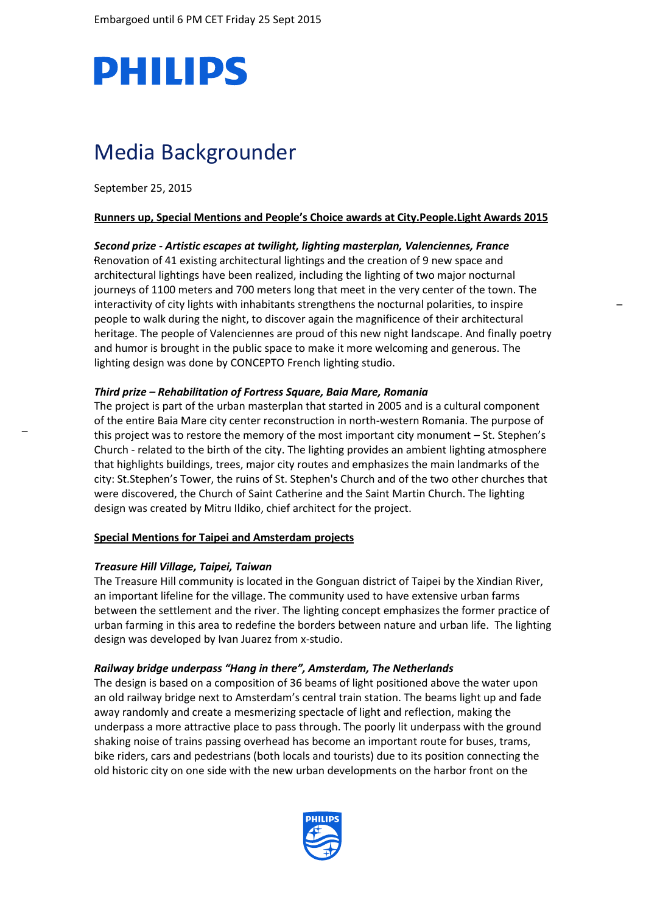

# Media Backgrounder

September 25, 2015

#### **Runners up, Special Mentions and People's Choice awards at City.People.Light Awards 2015**

## *Second prize - Artistic escapes at twilight, lighting masterplan, Valenciennes, France*

Renovation of 41 existing architectural lightings and the creation of 9 new space and architectural lightings have been realized, including the lighting of two major nocturnal journeys of 1100 meters and 700 meters long that meet in the very center of the town. The interactivity of city lights with inhabitants strengthens the nocturnal polarities, to inspire people to walk during the night, to discover again the magnificence of their architectural heritage. The people of Valenciennes are proud of this new night landscape. And finally poetry and humor is brought in the public space to make it more welcoming and generous. The lighting design was done by CONCEPTO French lighting studio.

### *Third prize – Rehabilitation of Fortress Square, Baia Mare, Romania*

The project is part of the urban masterplan that started in 2005 and is a cultural component of the entire Baia Mare city center reconstruction in north-western Romania. The purpose of this project was to restore the memory of the most important city monument – St. Stephen's Church - related to the birth of the city. The lighting provides an ambient lighting atmosphere that highlights buildings, trees, major city routes and emphasizes the main landmarks of the city: St.Stephen's Tower, the ruins of St. Stephen's Church and of the two other churches that were discovered, the Church of Saint Catherine and the Saint Martin Church. The lighting design was created by Mitru Ildiko, chief architect for the project.

#### **Special Mentions for Taipei and Amsterdam projects**

#### *Treasure Hill Village, Taipei, Taiwan*

The Treasure Hill community is located in the Gonguan district of Taipei by the Xindian River, an important lifeline for the village. The community used to have extensive urban farms between the settlement and the river. The lighting concept emphasizes the former practice of urban farming in this area to redefine the borders between nature and urban life. The lighting design was developed by Ivan Juarez from x-studio.

#### *Railway bridge underpass "Hang in there", Amsterdam, The Netherlands*

<span id="page-0-0"></span>The design is based on a composition of 36 beams of light positioned above the water upon an old railway bridge next to Amsterdam's central train station. The beams light up and fade away randomly and create a mesmerizing spectacle of light and reflection, making the underpass a more attractive place to pass through. The poorly lit underpass with the ground shaking noise of trains passing overhead has become an important route for buses, trams, bike riders, cars and pedestrians (both locals and tourists) due to its position connecting the old historic city on one side with the new urban developments on the harbor front on the